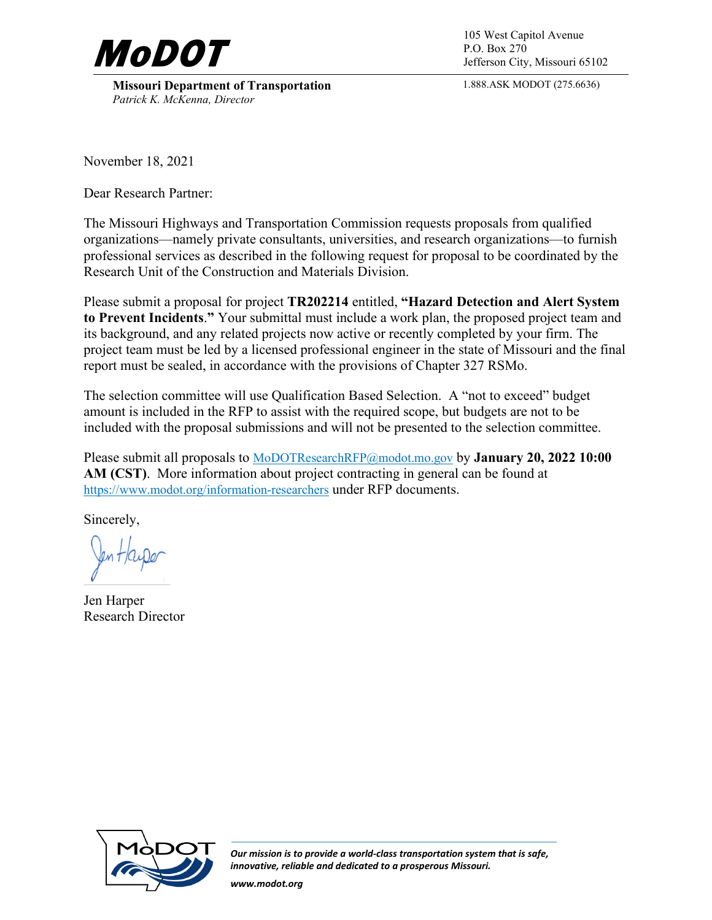

**Missouri Department of Transportation** *Patrick K. McKenna, Director*

P.O. Box 270 Jefferson City, Missouri 65102

1.888.ASK MODOT (275.6636)

November 18, 2021

Dear Research Partner:

The Missouri Highways and Transportation Commission requests proposals from qualified organizations—namely private consultants, universities, and research organizations—to furnish professional services as described in the following request for proposal to be coordinated by the Research Unit of the Construction and Materials Division.

Please submit a proposal for project **TR202214** entitled, **"Hazard Detection and Alert System to Prevent Incidents**.**"** Your submittal must include a work plan, the proposed project team and its background, and any related projects now active or recently completed by your firm. The project team must be led by a licensed professional engineer in the state of Missouri and the final report must be sealed, in accordance with the provisions of Chapter 327 RSMo.

The selection committee will use Qualification Based Selection. A "not to exceed" budget amount is included in the RFP to assist with the required scope, but budgets are not to be included with the proposal submissions and will not be presented to the selection committee.

Please submit all proposals to [MoDOTResearchRFP@modot.mo.gov](mailto:MoDOTResearchRFP@modot.mo.gov) by **January 20, 2022 10:00 AM (CST)**. More information about project contracting in general can be found at <https://www.modot.org/information-researchers>under RFP documents.

Sincerely,

Jen Harper Research Director



*Our mission is to provide a world-class transportation system that is safe, innovative, reliable and dedicated to a prosperous Missouri.*

*www.modot.org*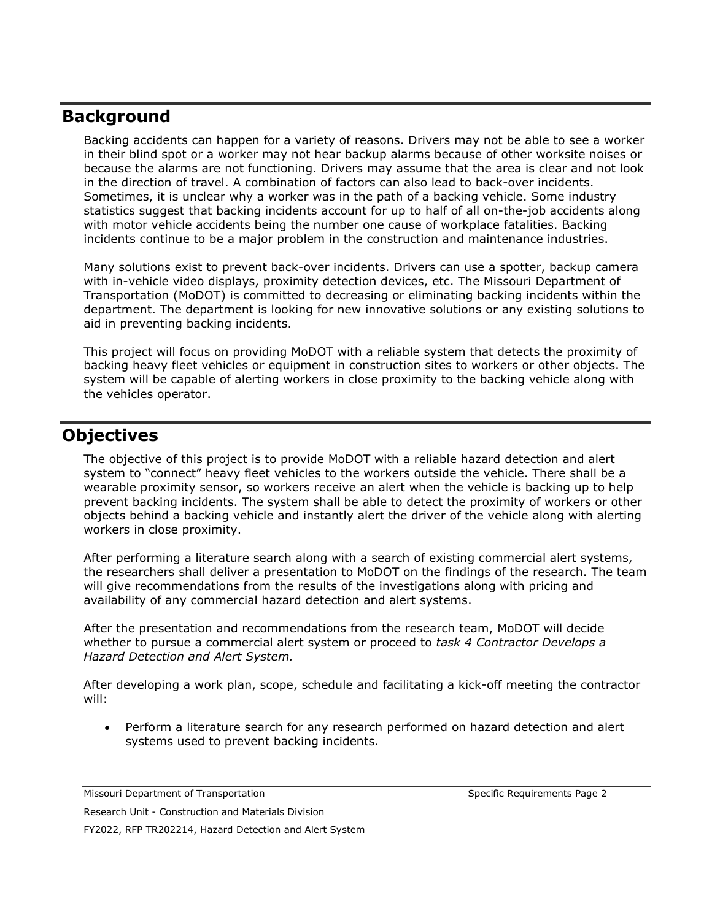# **Background**

Backing accidents can happen for a variety of reasons. Drivers may not be able to see a worker in their blind spot or a worker may not hear backup alarms because of other worksite noises or because the alarms are not functioning. Drivers may assume that the area is clear and not look in the direction of travel. A combination of factors can also lead to back-over incidents. Sometimes, it is unclear why a worker was in the path of a backing vehicle. Some industry statistics suggest that backing incidents account for up to half of all on-the-job accidents along with motor vehicle accidents being the number one cause of workplace fatalities. Backing incidents continue to be a major problem in the construction and maintenance industries.

Many solutions exist to prevent back-over incidents. Drivers can use a spotter, backup camera with in-vehicle video displays, proximity detection devices, etc. The Missouri Department of Transportation (MoDOT) is committed to decreasing or eliminating backing incidents within the department. The department is looking for new innovative solutions or any existing solutions to aid in preventing backing incidents.

This project will focus on providing MoDOT with a reliable system that detects the proximity of backing heavy fleet vehicles or equipment in construction sites to workers or other objects. The system will be capable of alerting workers in close proximity to the backing vehicle along with the vehicles operator.

## **Objectives**

The objective of this project is to provide MoDOT with a reliable hazard detection and alert system to "connect" heavy fleet vehicles to the workers outside the vehicle. There shall be a wearable proximity sensor, so workers receive an alert when the vehicle is backing up to help prevent backing incidents. The system shall be able to detect the proximity of workers or other objects behind a backing vehicle and instantly alert the driver of the vehicle along with alerting workers in close proximity.

After performing a literature search along with a search of existing commercial alert systems, the researchers shall deliver a presentation to MoDOT on the findings of the research. The team will give recommendations from the results of the investigations along with pricing and availability of any commercial hazard detection and alert systems.

After the presentation and recommendations from the research team, MoDOT will decide whether to pursue a commercial alert system or proceed to *task 4 Contractor Develops a Hazard Detection and Alert System.*

After developing a work plan, scope, schedule and facilitating a kick-off meeting the contractor will:

• Perform a literature search for any research performed on hazard detection and alert systems used to prevent backing incidents.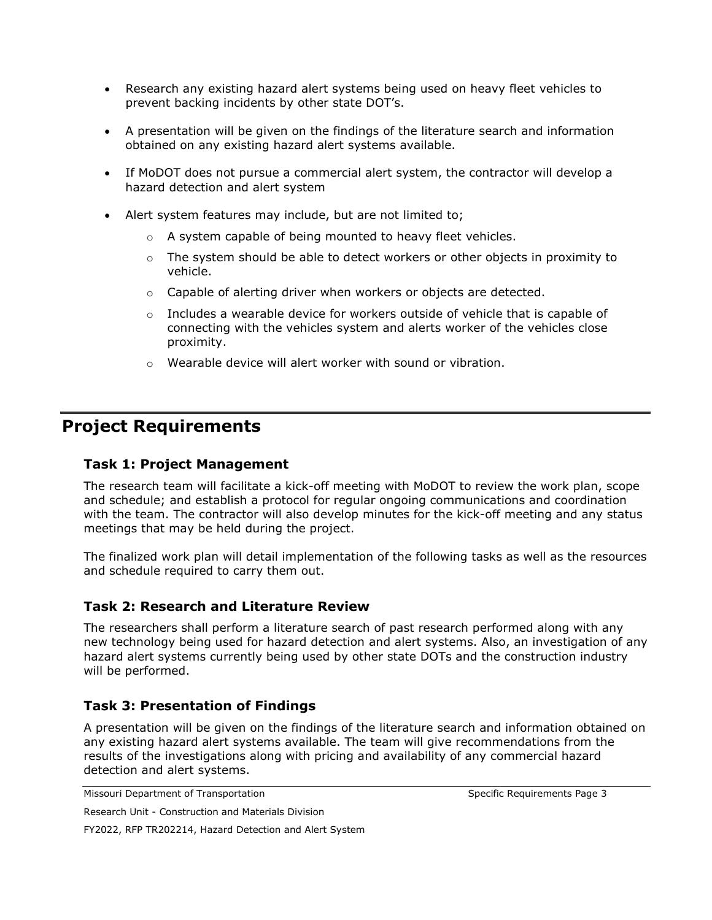- Research any existing hazard alert systems being used on heavy fleet vehicles to prevent backing incidents by other state DOT's.
- A presentation will be given on the findings of the literature search and information obtained on any existing hazard alert systems available.
- If MoDOT does not pursue a commercial alert system, the contractor will develop a hazard detection and alert system
- Alert system features may include, but are not limited to;
	- o A system capable of being mounted to heavy fleet vehicles.
	- $\circ$  The system should be able to detect workers or other objects in proximity to vehicle.
	- o Capable of alerting driver when workers or objects are detected.
	- $\circ$  Includes a wearable device for workers outside of vehicle that is capable of connecting with the vehicles system and alerts worker of the vehicles close proximity.
	- o Wearable device will alert worker with sound or vibration.

## **Project Requirements**

#### **Task 1: Project Management**

The research team will facilitate a kick-off meeting with MoDOT to review the work plan, scope and schedule; and establish a protocol for regular ongoing communications and coordination with the team. The contractor will also develop minutes for the kick-off meeting and any status meetings that may be held during the project.

The finalized work plan will detail implementation of the following tasks as well as the resources and schedule required to carry them out.

### **Task 2: Research and Literature Review**

The researchers shall perform a literature search of past research performed along with any new technology being used for hazard detection and alert systems. Also, an investigation of any hazard alert systems currently being used by other state DOTs and the construction industry will be performed.

### **Task 3: Presentation of Findings**

A presentation will be given on the findings of the literature search and information obtained on any existing hazard alert systems available. The team will give recommendations from the results of the investigations along with pricing and availability of any commercial hazard detection and alert systems.

```
Missouri Department of Transportation Specific Requirements Page 3
```

```
Research Unit - Construction and Materials Division
```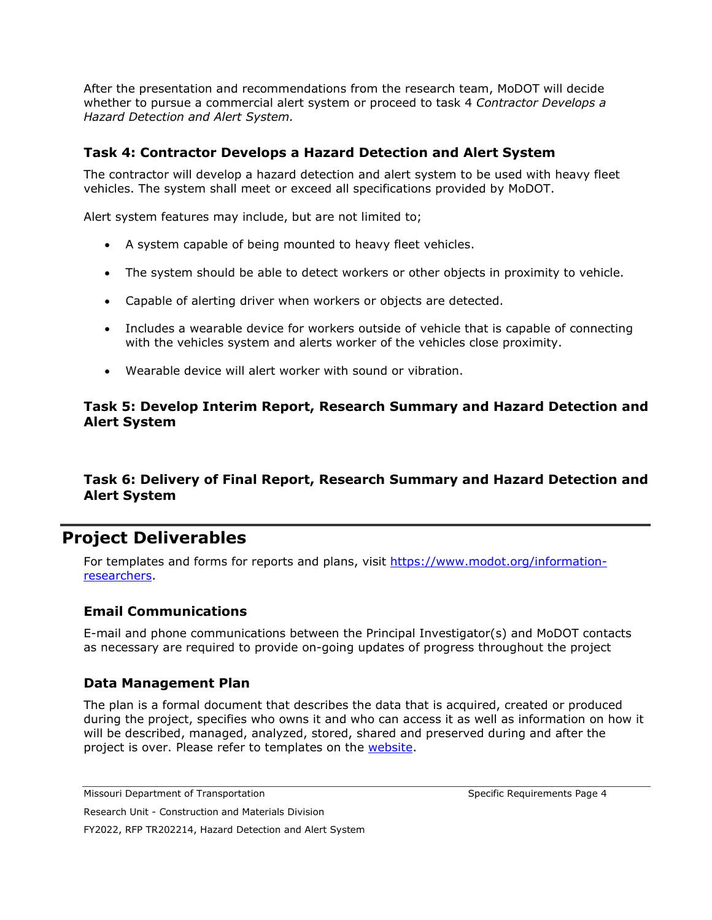After the presentation and recommendations from the research team, MoDOT will decide whether to pursue a commercial alert system or proceed to task 4 *Contractor Develops a Hazard Detection and Alert System.*

### **Task 4: Contractor Develops a Hazard Detection and Alert System**

The contractor will develop a hazard detection and alert system to be used with heavy fleet vehicles. The system shall meet or exceed all specifications provided by MoDOT.

Alert system features may include, but are not limited to;

- A system capable of being mounted to heavy fleet vehicles.
- The system should be able to detect workers or other objects in proximity to vehicle.
- Capable of alerting driver when workers or objects are detected.
- Includes a wearable device for workers outside of vehicle that is capable of connecting with the vehicles system and alerts worker of the vehicles close proximity.
- Wearable device will alert worker with sound or vibration.

### **Task 5: Develop Interim Report, Research Summary and Hazard Detection and Alert System**

### **Task 6: Delivery of Final Report, Research Summary and Hazard Detection and Alert System**

## **Project Deliverables**

For templates and forms for reports and plans, visit [https://www.modot.org/information](https://www.modot.org/information-researchers)[researchers.](https://www.modot.org/information-researchers)

### **Email Communications**

E-mail and phone communications between the Principal Investigator(s) and MoDOT contacts as necessary are required to provide on-going updates of progress throughout the project

### **Data Management Plan**

The plan is a formal document that describes the data that is acquired, created or produced during the project, specifies who owns it and who can access it as well as information on how it will be described, managed, analyzed, stored, shared and preserved during and after the project is over. Please refer to templates on the [website.](https://www.modot.org/information-researchers)

Missouri Department of Transportation Specific Requirements Page 4

Research Unit - Construction and Materials Division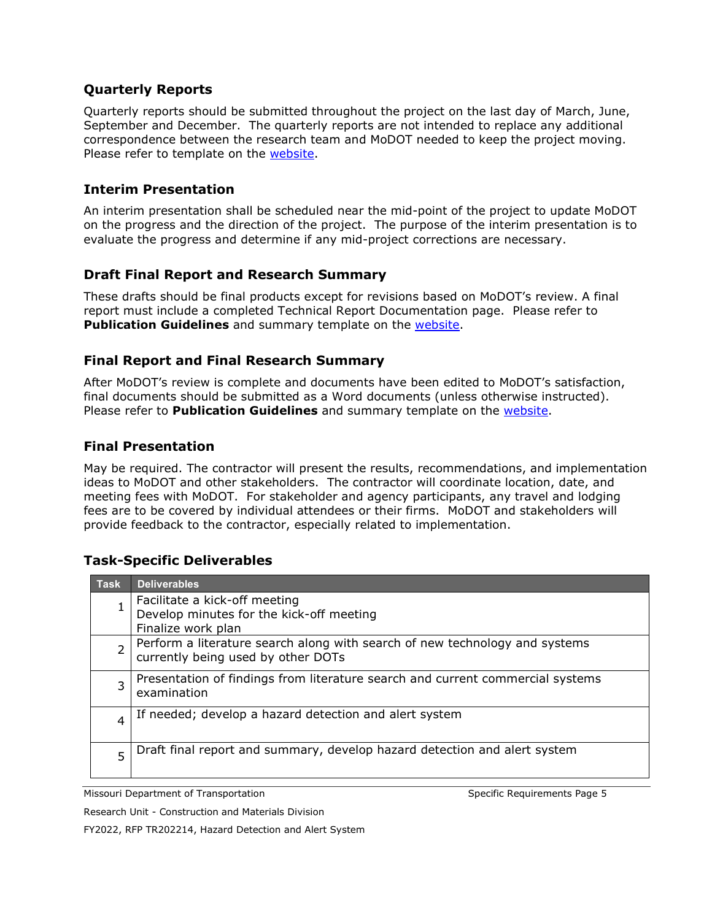### **Quarterly Reports**

Quarterly reports should be submitted throughout the project on the last day of March, June, September and December. The quarterly reports are not intended to replace any additional correspondence between the research team and MoDOT needed to keep the project moving. Please refer to template on the [website.](https://www.modot.org/information-researchers)

### **Interim Presentation**

An interim presentation shall be scheduled near the mid-point of the project to update MoDOT on the progress and the direction of the project. The purpose of the interim presentation is to evaluate the progress and determine if any mid-project corrections are necessary.

### **Draft Final Report and Research Summary**

These drafts should be final products except for revisions based on MoDOT's review. A final report must include a completed Technical Report Documentation page. Please refer to **Publication Guidelines** and summary template on the [website.](https://www.modot.org/information-researchers)

### **Final Report and Final Research Summary**

After MoDOT's review is complete and documents have been edited to MoDOT's satisfaction, final documents should be submitted as a Word documents (unless otherwise instructed). Please refer to **Publication Guidelines** and summary template on the [website.](https://www.modot.org/information-researchers)

### **Final Presentation**

May be required. The contractor will present the results, recommendations, and implementation ideas to MoDOT and other stakeholders. The contractor will coordinate location, date, and meeting fees with MoDOT. For stakeholder and agency participants, any travel and lodging fees are to be covered by individual attendees or their firms. MoDOT and stakeholders will provide feedback to the contractor, especially related to implementation.

### **Task-Specific Deliverables**

| <b>Task</b>    | <b>Deliverables</b>                                                                                               |
|----------------|-------------------------------------------------------------------------------------------------------------------|
|                | Facilitate a kick-off meeting<br>Develop minutes for the kick-off meeting<br>Finalize work plan                   |
| $\overline{2}$ | Perform a literature search along with search of new technology and systems<br>currently being used by other DOTs |
| 3              | Presentation of findings from literature search and current commercial systems<br>examination                     |
| 4              | If needed; develop a hazard detection and alert system                                                            |
| 5              | Draft final report and summary, develop hazard detection and alert system                                         |

Missouri Department of Transportation Specific Requirements Page 5

Research Unit - Construction and Materials Division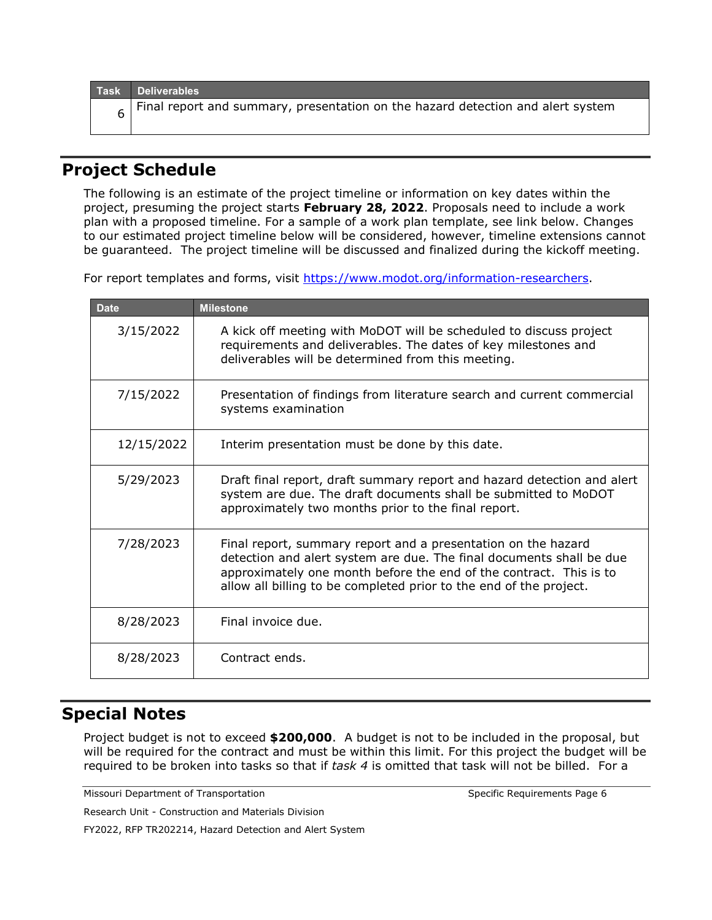|  | Task Deliverables                                                               |
|--|---------------------------------------------------------------------------------|
|  | Final report and summary, presentation on the hazard detection and alert system |

# **Project Schedule**

The following is an estimate of the project timeline or information on key dates within the project, presuming the project starts **February 28, 2022**. Proposals need to include a work plan with a proposed timeline. For a sample of a work plan template, see link below. Changes to our estimated project timeline below will be considered, however, timeline extensions cannot be guaranteed. The project timeline will be discussed and finalized during the kickoff meeting.

For report templates and forms, visit [https://www.modot.org/information-researchers.](https://www.modot.org/information-researchers)

| <b>Date</b> | <b>Milestone</b>                                                                                                                                                                                                                                                                  |
|-------------|-----------------------------------------------------------------------------------------------------------------------------------------------------------------------------------------------------------------------------------------------------------------------------------|
| 3/15/2022   | A kick off meeting with MoDOT will be scheduled to discuss project<br>requirements and deliverables. The dates of key milestones and<br>deliverables will be determined from this meeting.                                                                                        |
| 7/15/2022   | Presentation of findings from literature search and current commercial<br>systems examination                                                                                                                                                                                     |
| 12/15/2022  | Interim presentation must be done by this date.                                                                                                                                                                                                                                   |
| 5/29/2023   | Draft final report, draft summary report and hazard detection and alert<br>system are due. The draft documents shall be submitted to MoDOT<br>approximately two months prior to the final report.                                                                                 |
| 7/28/2023   | Final report, summary report and a presentation on the hazard<br>detection and alert system are due. The final documents shall be due<br>approximately one month before the end of the contract. This is to<br>allow all billing to be completed prior to the end of the project. |
| 8/28/2023   | Final invoice due.                                                                                                                                                                                                                                                                |
| 8/28/2023   | Contract ends.                                                                                                                                                                                                                                                                    |

# **Special Notes**

Project budget is not to exceed **\$200,000**. A budget is not to be included in the proposal, but will be required for the contract and must be within this limit. For this project the budget will be required to be broken into tasks so that if *task 4* is omitted that task will not be billed. For a

Missouri Department of Transportation Specific Requirements Page 6

Research Unit - Construction and Materials Division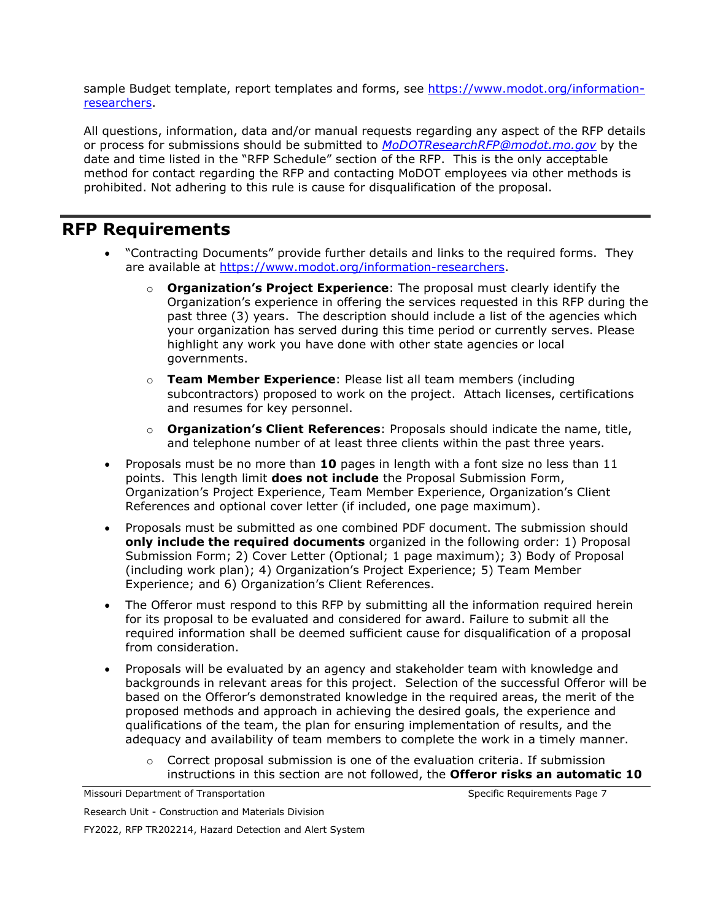sample Budget template, report templates and forms, see [https://www.modot.org/information](https://www.modot.org/information-researchers)[researchers.](https://www.modot.org/information-researchers)

All questions, information, data and/or manual requests regarding any aspect of the RFP details or process for submissions should be submitted to *[MoDOTResearchRFP@modot.mo.gov](mailto:MoDOTResearchRFP@modot.mo.gov)* by the date and time listed in the "RFP Schedule" section of the RFP. This is the only acceptable method for contact regarding the RFP and contacting MoDOT employees via other methods is prohibited. Not adhering to this rule is cause for disqualification of the proposal.

# **RFP Requirements**

- "Contracting Documents" provide further details and links to the required forms. They are available at [https://www.modot.org/information-researchers.](https://www.modot.org/information-researchers)
	- o **Organization's Project Experience**: The proposal must clearly identify the Organization's experience in offering the services requested in this RFP during the past three (3) years. The description should include a list of the agencies which your organization has served during this time period or currently serves. Please highlight any work you have done with other state agencies or local governments.
	- o **Team Member Experience**: Please list all team members (including subcontractors) proposed to work on the project. Attach licenses, certifications and resumes for key personnel.
	- o **Organization's Client References**: Proposals should indicate the name, title, and telephone number of at least three clients within the past three years.
- Proposals must be no more than **10** pages in length with a font size no less than 11 points. This length limit **does not include** the Proposal Submission Form, Organization's Project Experience, Team Member Experience, Organization's Client References and optional cover letter (if included, one page maximum).
- Proposals must be submitted as one combined PDF document. The submission should **only include the required documents** organized in the following order: 1) Proposal Submission Form; 2) Cover Letter (Optional; 1 page maximum); 3) Body of Proposal (including work plan); 4) Organization's Project Experience; 5) Team Member Experience; and 6) Organization's Client References.
- The Offeror must respond to this RFP by submitting all the information required herein for its proposal to be evaluated and considered for award. Failure to submit all the required information shall be deemed sufficient cause for disqualification of a proposal from consideration.
- Proposals will be evaluated by an agency and stakeholder team with knowledge and backgrounds in relevant areas for this project. Selection of the successful Offeror will be based on the Offeror's demonstrated knowledge in the required areas, the merit of the proposed methods and approach in achieving the desired goals, the experience and qualifications of the team, the plan for ensuring implementation of results, and the adequacy and availability of team members to complete the work in a timely manner.
	- $\circ$  Correct proposal submission is one of the evaluation criteria. If submission instructions in this section are not followed, the **Offeror risks an automatic 10**

Research Unit - Construction and Materials Division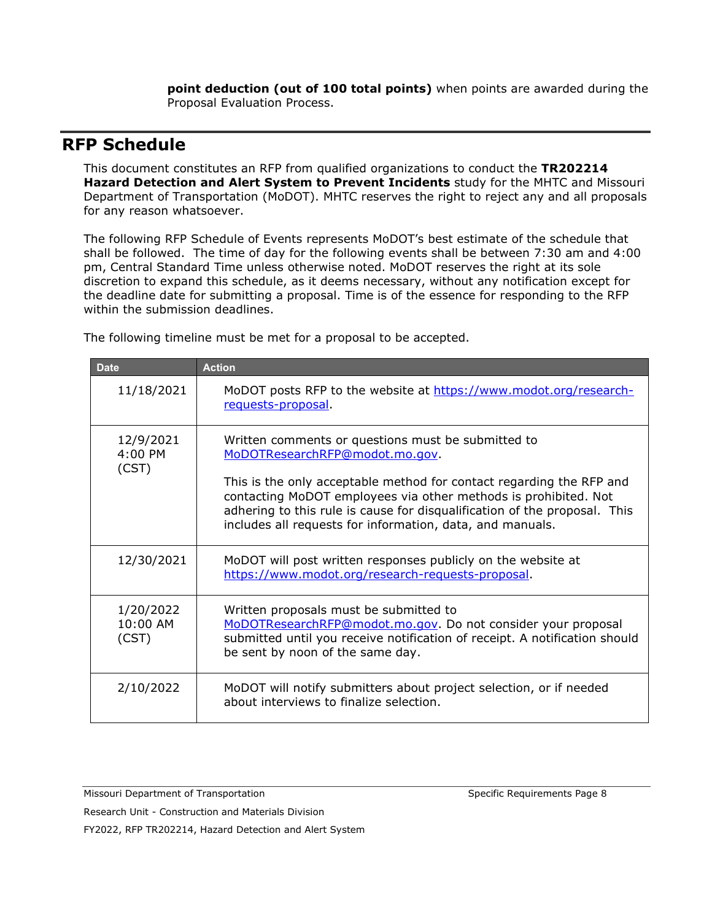**point deduction (out of 100 total points)** when points are awarded during the Proposal Evaluation Process.

## **RFP Schedule**

This document constitutes an RFP from qualified organizations to conduct the **TR202214 Hazard Detection and Alert System to Prevent Incidents** study for the MHTC and Missouri Department of Transportation (MoDOT). MHTC reserves the right to reject any and all proposals for any reason whatsoever.

The following RFP Schedule of Events represents MoDOT's best estimate of the schedule that shall be followed. The time of day for the following events shall be between 7:30 am and 4:00 pm, Central Standard Time unless otherwise noted. MoDOT reserves the right at its sole discretion to expand this schedule, as it deems necessary, without any notification except for the deadline date for submitting a proposal. Time is of the essence for responding to the RFP within the submission deadlines.

| <b>Date</b>                    | <b>Action</b>                                                                                                                                                                                                                                                                     |
|--------------------------------|-----------------------------------------------------------------------------------------------------------------------------------------------------------------------------------------------------------------------------------------------------------------------------------|
| 11/18/2021                     | MoDOT posts RFP to the website at https://www.modot.org/research-<br>requests-proposal.                                                                                                                                                                                           |
| 12/9/2021<br>4:00 PM<br>(CST)  | Written comments or questions must be submitted to<br>MoDOTResearchRFP@modot.mo.gov.                                                                                                                                                                                              |
|                                | This is the only acceptable method for contact regarding the RFP and<br>contacting MoDOT employees via other methods is prohibited. Not<br>adhering to this rule is cause for disqualification of the proposal. This<br>includes all requests for information, data, and manuals. |
| 12/30/2021                     | MoDOT will post written responses publicly on the website at<br>https://www.modot.org/research-requests-proposal.                                                                                                                                                                 |
| 1/20/2022<br>10:00 AM<br>(CST) | Written proposals must be submitted to<br>MoDOTResearchRFP@modot.mo.gov. Do not consider your proposal<br>submitted until you receive notification of receipt. A notification should<br>be sent by noon of the same day.                                                          |
| 2/10/2022                      | MoDOT will notify submitters about project selection, or if needed<br>about interviews to finalize selection.                                                                                                                                                                     |

The following timeline must be met for a proposal to be accepted.

Missouri Department of Transportation Specific Requirements Page 8

Research Unit - Construction and Materials Division